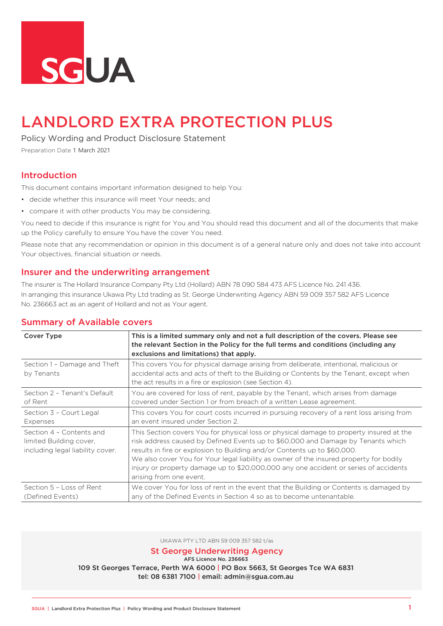

# LANDLORD EXTRA PROTECTION PLUS

Policy Wording and Product Disclosure Statement

Preparation Date 1 March 2021

# Introduction

This document contains important information designed to help You:

- decide whether this insurance will meet Your needs; and
- compare it with other products You may be considering.

You need to decide if this insurance is right for You and You should read this document and all of the documents that make up the Policy carefully to ensure You have the cover You need.

Please note that any recommendation or opinion in this document is of a general nature only and does not take into account Your objectives, financial situation or needs.

### Insurer and the underwriting arrangement

The insurer is The Hollard Insurance Company Pty Ltd (Hollard) ABN 78 090 584 473 AFS Licence No. 241 436. In arranging this insurance Ukawa Pty Ltd trading as St. George Underwriting Agency ABN 59 009 357 582 AFS Licence No. 236663 act as an agent of Hollard and not as Your agent.

| <b>Cover Type</b>                                                                       | This is a limited summary only and not a full description of the covers. Please see<br>the relevant Section in the Policy for the full terms and conditions (including any<br>exclusions and limitations) that apply.                                                                                                                                                                                                                                                |
|-----------------------------------------------------------------------------------------|----------------------------------------------------------------------------------------------------------------------------------------------------------------------------------------------------------------------------------------------------------------------------------------------------------------------------------------------------------------------------------------------------------------------------------------------------------------------|
| Section 1 - Damage and Theft<br>by Tenants                                              | This covers You for physical damage arising from deliberate, intentional, malicious or<br>accidental acts and acts of theft to the Building or Contents by the Tenant, except when<br>the act results in a fire or explosion (see Section 4).                                                                                                                                                                                                                        |
| Section 2 - Tenant's Default                                                            | You are covered for loss of rent, payable by the Tenant, which arises from damage                                                                                                                                                                                                                                                                                                                                                                                    |
| of Rent                                                                                 | covered under Section 1 or from breach of a written Lease agreement.                                                                                                                                                                                                                                                                                                                                                                                                 |
| Section 3 - Court Legal                                                                 | This covers You for court costs incurred in pursuing recovery of a rent loss arising from                                                                                                                                                                                                                                                                                                                                                                            |
| Expenses                                                                                | an event insured under Section 2.                                                                                                                                                                                                                                                                                                                                                                                                                                    |
| Section 4 - Contents and<br>limited Building cover,<br>including legal liability cover. | This Section covers You for physical loss or physical damage to property insured at the<br>risk address caused by Defined Events up to \$60,000 and Damage by Tenants which<br>results in fire or explosion to Building and/or Contents up to \$60,000.<br>We also cover You for Your legal liability as owner of the insured property for bodily<br>injury or property damage up to \$20,000,000 any one accident or series of accidents<br>arising from one event. |
| Section 5 - Loss of Rent                                                                | We cover You for loss of rent in the event that the Building or Contents is damaged by                                                                                                                                                                                                                                                                                                                                                                               |
| (Defined Events)                                                                        | any of the Defined Events in Section 4 so as to become untenantable.                                                                                                                                                                                                                                                                                                                                                                                                 |

### Summary of Available covers

UKAWA PTY LTD ABN 59 009 357 582 t/as

St George Underwriting Agency

AFS Licence No. 236663

109 St Georges Terrace, Perth WA 6000 | PO Box 5663, St Georges Tce WA 6831 tel: 08 6381 7100 | email: admin@sgua.com.au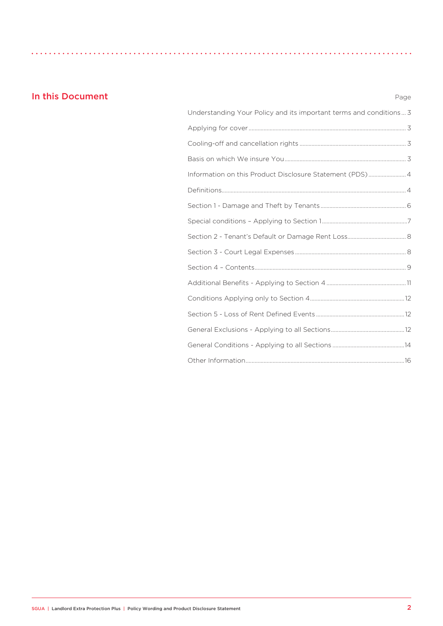# **In this Document** Page

| Understanding Your Policy and its important terms and conditions 3 |  |
|--------------------------------------------------------------------|--|
|                                                                    |  |
|                                                                    |  |
|                                                                    |  |
| Information on this Product Disclosure Statement (PDS) 4           |  |
|                                                                    |  |
|                                                                    |  |
|                                                                    |  |
|                                                                    |  |
|                                                                    |  |
|                                                                    |  |
|                                                                    |  |
|                                                                    |  |
|                                                                    |  |
|                                                                    |  |
|                                                                    |  |
|                                                                    |  |
|                                                                    |  |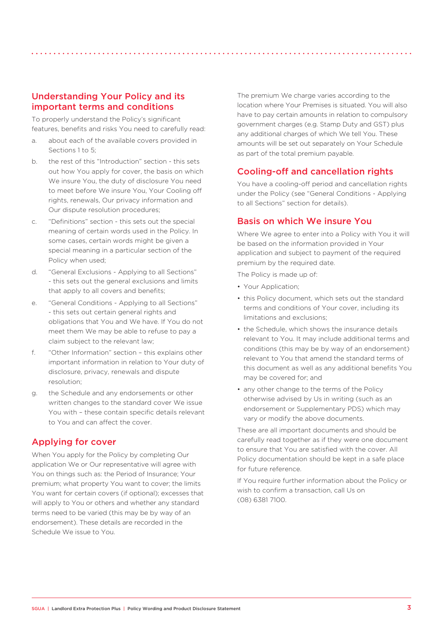# Understanding Your Policy and its important terms and conditions

To properly understand the Policy's significant features, benefits and risks You need to carefully read:

- a. about each of the available covers provided in Sections 1 to 5:
- b. the rest of this "Introduction" section this sets out how You apply for cover, the basis on which We insure You, the duty of disclosure You need to meet before We insure You, Your Cooling off rights, renewals, Our privacy information and Our dispute resolution procedures;
- c. "Definitions" section this sets out the special meaning of certain words used in the Policy. In some cases, certain words might be given a special meaning in a particular section of the Policy when used;
- d. "General Exclusions Applying to all Sections" - this sets out the general exclusions and limits that apply to all covers and benefits:
- e. "General Conditions Applying to all Sections" - this sets out certain general rights and obligations that You and We have. If You do not meet them We may be able to refuse to pay a claim subject to the relevant law;
- f. "Other Information" section this explains other important information in relation to Your duty of disclosure, privacy, renewals and dispute resolution;
- g. the Schedule and any endorsements or other written changes to the standard cover We issue You with - these contain specific details relevant to You and can affect the cover.

# Applying for cover

When You apply for the Policy by completing Our application We or Our representative will agree with You on things such as: the Period of Insurance; Your premium; what property You want to cover; the limits You want for certain covers (if optional); excesses that will apply to You or others and whether any standard terms need to be varied (this may be by way of an endorsement). These details are recorded in the Schedule We issue to You.

The premium We charge varies according to the location where Your Premises is situated. You will also have to pay certain amounts in relation to compulsory government charges (e.g. Stamp Duty and GST) plus any additional charges of which We tell You. These amounts will be set out separately on Your Schedule as part of the total premium payable.

# Cooling-off and cancellation rights

You have a cooling-off period and cancellation rights under the Policy (see "General Conditions - Applying to all Sections" section for details).

# Basis on which We insure You

Where We agree to enter into a Policy with You it will be based on the information provided in Your application and subject to payment of the required premium by the required date.

The Policy is made up of:

- Your Application;
- this Policy document, which sets out the standard terms and conditions of Your cover, including its limitations and exclusions:
- the Schedule, which shows the insurance details relevant to You. It may include additional terms and conditions (this may be by way of an endorsement) relevant to You that amend the standard terms of this document as well as any additional benefits You may be covered for; and
- any other change to the terms of the Policy otherwise advised by Us in writing (such as an endorsement or Supplementary PDS) which may vary or modify the above documents.

These are all important documents and should be carefully read together as if they were one document to ensure that You are satisfied with the cover. All Policy documentation should be kept in a safe place for future reference

If You require further information about the Policy or wish to confirm a transaction, call Us on (08) 6381 7100.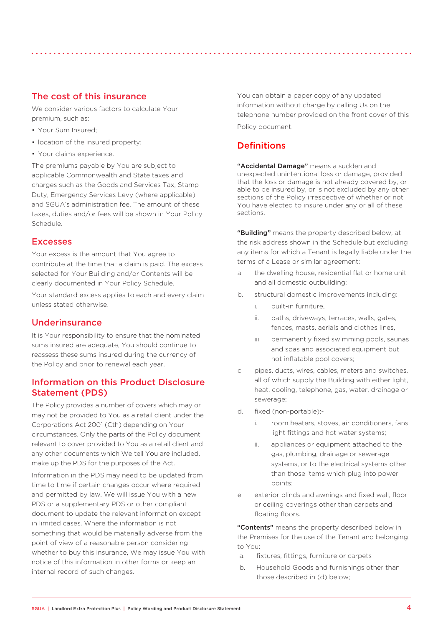We consider various factors to calculate Your premium, such as:

- Your Sum Insured;
- location of the insured property;
- Your claims experience.

The premiums payable by You are subject to applicable Commonwealth and State taxes and charges such as the Goods and Services Tax, Stamp Duty, Emergency Services Levy (where applicable) and SGUA's administration fee. The amount of these taxes, duties and/or fees will be shown in Your Policy Schedule.

### Excesses

Your excess is the amount that You agree to contribute at the time that a claim is paid. The excess selected for Your Building and/or Contents will be clearly documented in Your Policy Schedule.

Your standard excess applies to each and every claim unless stated otherwise.

### Underinsurance

It is Your responsibility to ensure that the nominated sums insured are adequate, You should continue to reassess these sums insured during the currency of the Policy and prior to renewal each year.

# Information on this Product Disclosure Statement (PDS)

The Policy provides a number of covers which may or may not be provided to You as a retail client under the Corporations Act 2001 (Cth) depending on Your circumstances. Only the parts of the Policy document relevant to cover provided to You as a retail client and any other documents which We tell You are included, make up the PDS for the purposes of the Act.

Information in the PDS may need to be updated from time to time if certain changes occur where required and permitted by law. We will issue You with a new PDS or a supplementary PDS or other compliant document to update the relevant information except in limited cases. Where the information is not something that would be materially adverse from the point of view of a reasonable person considering whether to buy this insurance, We may issue You with notice of this information in other forms or keep an internal record of such changes.

You can obtain a paper copy of any updated information without charge by calling Us on the telephone number provided on the front cover of this Policy document.

# **Definitions**

"Accidental Damage" means a sudden and unexpected unintentional loss or damage, provided that the loss or damage is not already covered by, or able to be insured by, or is not excluded by any other sections of the Policy irrespective of whether or not You have elected to insure under any or all of these sections.

"Building" means the property described below, at the risk address shown in the Schedule but excluding any items for which a Tenant is legally liable under the terms of a Lease or similar agreement:

- a. the dwelling house, residential flat or home unit and all domestic outbuilding;
- b. structural domestic improvements including:
	- i. built-in furniture,
	- ii. paths, driveways, terraces, walls, gates, fences, masts, aerials and clothes lines,
	- iii. permanently fixed swimming pools, saunas and spas and associated equipment but not inflatable pool covers;
- c. pipes, ducts, wires, cables, meters and switches, all of which supply the Building with either light, heat, cooling, telephone, gas, water, drainage or sewerage;
- d. fixed (non-portable):
	- i. room heaters, stoves, air conditioners, fans, light fittings and hot water systems;
	- ii. appliances or equipment attached to the gas, plumbing, drainage or sewerage systems, or to the electrical systems other than those items which plug into power points;
- e. exterior blinds and awnings and fixed wall, floor or ceiling coverings other than carpets and floating floors.

"Contents" means the property described below in the Premises for the use of the Tenant and belonging to You:

- a. fixtures, fittings, furniture or carpets
- b. Household Goods and furnishings other than those described in (d) below;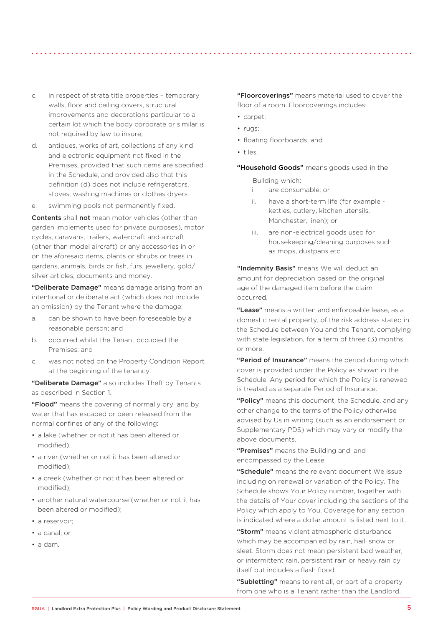- c. in respect of strata title properties temporary walls, floor and ceiling covers, structural improvements and decorations particular to a certain lot which the body corporate or similar is not required by law to insure;
- d. antiques, works of art, collections of any kind and electronic equipment not fixed in the Premises, provided that such items are specified in the Schedule, and provided also that this definition (d) does not include refrigerators, stoves, washing machines or clothes dryers
- e. swimming pools not permanently fixed.

Contents shall not mean motor vehicles (other than garden implements used for private purposes), motor cycles, caravans, trailers, watercraft and aircraft (other than model aircraft) or any accessories in or on the aforesaid items, plants or shrubs or trees in gardens, animals, birds or fish, furs, jewellery, gold/ silver articles, documents and money.

"Deliberate Damage" means damage arising from an intentional or deliberate act (which does not include an omission) by the Tenant where the damage:

- a. can be shown to have been foreseeable by a reasonable person; and
- b. occurred whilst the Tenant occupied the Premises; and
- c. was not noted on the Property Condition Report at the beginning of the tenancy.

"Deliberate Damage" also includes Theft by Tenants as described in Section 1.

"Flood" means the covering of normally dry land by water that has escaped or been released from the normal confines of any of the following:

- a lake (whether or not it has been altered or modified);
- a river (whether or not it has been altered or modified);
- a creek (whether or not it has been altered or modified);
- another natural watercourse (whether or not it has been altered or modified);
- a reservoir;
- a canal; or
- a dam.

"Floorcoverings" means material used to cover the floor of a room. Floorcoverings includes:

- carpet;
- rugs;
- floating floorboards; and
- tiles.

"Household Goods" means goods used in the

Building which:

- i. are consumable; or
- ii. have a short-term life (for example kettles, cutlery, kitchen utensils, Manchester, linen); or
- iii. are non-electrical goods used for housekeeping/cleaning purposes such as mops, dustpans etc.

"Indemnity Basis" means We will deduct an amount for depreciation based on the original age of the damaged item before the claim occurred.

"Lease" means a written and enforceable lease, as a domestic rental property, of the risk address stated in the Schedule between You and the Tenant, complying with state legislation, for a term of three (3) months or more.

"Period of Insurance" means the period during which cover is provided under the Policy as shown in the Schedule. Any period for which the Policy is renewed is treated as a separate Period of Insurance.

"Policy" means this document, the Schedule, and any other change to the terms of the Policy otherwise advised by Us in writing (such as an endorsement or Supplementary PDS) which may vary or modify the above documents.

"Premises" means the Building and land encompassed by the Lease.

"Schedule" means the relevant document We issue including on renewal or variation of the Policy. The Schedule shows Your Policy number, together with the details of Your cover including the sections of the Policy which apply to You. Coverage for any section is indicated where a dollar amount is listed next to it.

"Storm" means violent atmospheric disturbance which may be accompanied by rain, hail, snow or sleet. Storm does not mean persistent bad weather. or intermittent rain, persistent rain or heavy rain by itself but includes a flash flood.

"Subletting" means to rent all, or part of a property from one who is a Tenant rather than the Landlord.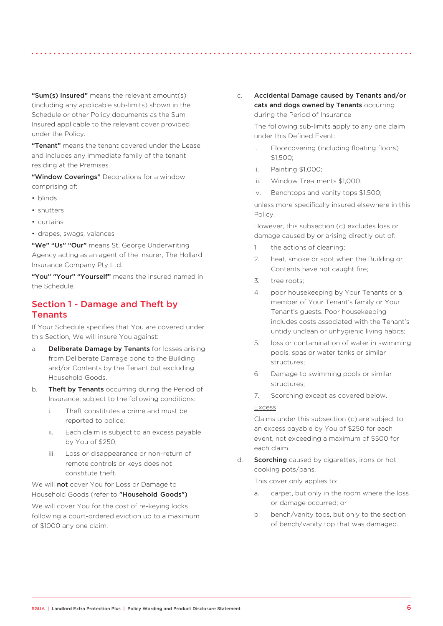"Sum(s) Insured" means the relevant amount(s) (including any applicable sub-limits) shown in the Schedule or other Policy documents as the Sum Insured applicable to the relevant cover provided under the Policy.

"Tenant" means the tenant covered under the Lease and includes any immediate family of the tenant residing at the Premises.

"Window Coverings" Decorations for a window comprising of:

- blinds
- shutters
- curtains
- drapes, swags, valances

"We" "Us" "Our" means St. George Underwriting Agency acting as an agent of the insurer, The Hollard Insurance Company Pty Ltd.

"You" "Your" "Yourself" means the insured named in the Schedule.

# Section 1 - Damage and Theft by Tenants

If Your Schedule specifies that You are covered under this Section, We will insure You against:

- a. Deliberate Damage by Tenants for losses arising from Deliberate Damage done to the Building and/or Contents by the Tenant but excluding Household Goods.
- b. **Theft by Tenants** occurring during the Period of Insurance, subject to the following conditions:
	- i. Theft constitutes a crime and must be reported to police;
	- ii. Each claim is subject to an excess payable by You of \$250;
	- iii. Loss or disappearance or non-return of remote controls or keys does not constitute theft.

We will **not** cover You for Loss or Damage to Household Goods (refer to "Household Goods")

We will cover You for the cost of re-keying locks following a court-ordered eviction up to a maximum of \$1000 any one claim.

c. Accidental Damage caused by Tenants and/or cats and dogs owned by Tenants occurring during the Period of Insurance

> The following sub-limits apply to any one claim under this Defined Event:

- i. Floorcovering (including floating floors) \$1,500;
- ii. Painting \$1,000;
- iii. Window Treatments \$1,000;
- iv. Benchtops and vanity tops \$1,500;

unless more specifically insured elsewhere in this Policy.

However, this subsection (c) excludes loss or damage caused by or arising directly out of:

- 1. the actions of cleaning;
- 2. heat, smoke or soot when the Building or Contents have not caught fire;
- 3. tree roots;
- 4. poor housekeeping by Your Tenants or a member of Your Tenant's family or Your Tenant's guests. Poor housekeeping includes costs associated with the Tenant's untidy unclean or unhygienic living habits;
- 5. loss or contamination of water in swimming pools, spas or water tanks or similar structures;
- 6. Damage to swimming pools or similar structures;
- 7. Scorching except as covered below.

#### Excess

Claims under this subsection (c) are subject to an excess payable by You of \$250 for each event, not exceeding a maximum of \$500 for each claim.

d. **Scorching** caused by cigarettes, irons or hot cooking pots/pans.

This cover only applies to:

- a. carpet, but only in the room where the loss or damage occurred; or
- b. bench/vanity tops, but only to the section of bench/vanity top that was damaged.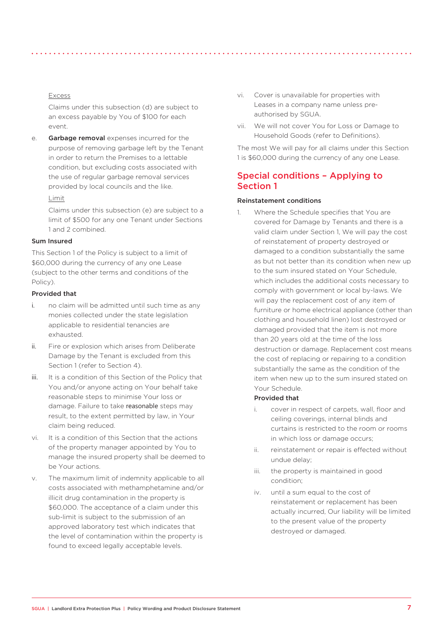### Excess

Claims under this subsection (d) are subject to an excess payable by You of \$100 for each event.

e. Garbage removal expenses incurred for the purpose of removing garbage left by the Tenant in order to return the Premises to a lettable condition, but excluding costs associated with the use of regular garbage removal services provided by local councils and the like.

### Limit

Claims under this subsection (e) are subject to a limit of \$500 for any one Tenant under Sections 1 and 2 combined.

### Sum Insured

This Section 1 of the Policy is subject to a limit of \$60,000 during the currency of any one Lease (subject to the other terms and conditions of the Policy).

### Provided that

- i. no claim will be admitted until such time as any monies collected under the state legislation applicable to residential tenancies are exhausted.
- ii. Fire or explosion which arises from Deliberate Damage by the Tenant is excluded from this Section 1 (refer to Section 4).
- iii. It is a condition of this Section of the Policy that You and/or anyone acting on Your behalf take reasonable steps to minimise Your loss or damage. Failure to take reasonable steps may result, to the extent permitted by law, in Your claim being reduced.
- vi. It is a condition of this Section that the actions of the property manager appointed by You to manage the insured property shall be deemed to be Your actions.
- v. The maximum limit of indemnity applicable to all costs associated with methamphetamine and/or illicit drug contamination in the property is \$60,000. The acceptance of a claim under this sub-limit is subject to the submission of an approved laboratory test which indicates that the level of contamination within the property is found to exceed legally acceptable levels.
- vi. Cover is unavailable for properties with Leases in a company name unless preauthorised by SGUA.
- vii. We will not cover You for Loss or Damage to Household Goods (refer to Definitions).

The most We will pay for all claims under this Section 1 is \$60,000 during the currency of any one Lease.

# Special conditions – Applying to Section 1

#### Reinstatement conditions

1. Where the Schedule specifies that You are covered for Damage by Tenants and there is a valid claim under Section 1, We will pay the cost of reinstatement of property destroyed or damaged to a condition substantially the same as but not better than its condition when new up to the sum insured stated on Your Schedule, which includes the additional costs necessary to comply with government or local by-laws. We will pay the replacement cost of any item of furniture or home electrical appliance (other than clothing and household linen) lost destroyed or damaged provided that the item is not more than 20 years old at the time of the loss destruction or damage. Replacement cost means the cost of replacing or repairing to a condition substantially the same as the condition of the item when new up to the sum insured stated on Your Schedule.

#### Provided that

- i. cover in respect of carpets, wall, floor and ceiling coverings, internal blinds and curtains is restricted to the room or rooms in which loss or damage occurs;
- ii. reinstatement or repair is effected without undue delay;
- iii. the property is maintained in good condition;
- iv. until a sum equal to the cost of reinstatement or replacement has been actually incurred, Our liability will be limited to the present value of the property destroyed or damaged.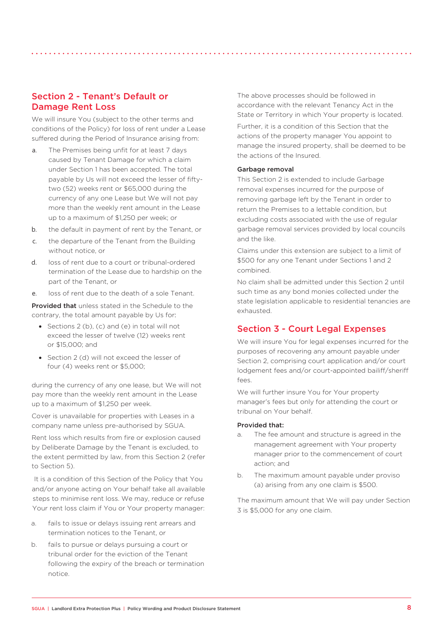# Section 2 - Tenant's Default or Damage Rent Loss

We will insure You (subject to the other terms and conditions of the Policy) for loss of rent under a Lease suffered during the Period of Insurance arising from:

- a. The Premises being unfit for at least 7 days caused by Tenant Damage for which a claim under Section 1 has been accepted. The total payable by Us will not exceed the lesser of fiftytwo (52) weeks rent or \$65,000 during the currency of any one Lease but We will not pay more than the weekly rent amount in the Lease up to a maximum of \$1,250 per week; or
- b. the default in payment of rent by the Tenant, or
- c. the departure of the Tenant from the Building without notice, or
- d. loss of rent due to a court or tribunal-ordered termination of the Lease due to hardship on the part of the Tenant, or
- e. loss of rent due to the death of a sole Tenant.

**Provided that** unless stated in the Schedule to the contrary, the total amount payable by Us for:

- Sections 2 (b), (c) and (e) in total will not exceed the lesser of twelve (12) weeks rent or \$15,000; and
- Section 2 (d) will not exceed the lesser of four (4) weeks rent or \$5,000;

during the currency of any one lease, but We will not pay more than the weekly rent amount in the Lease up to a maximum of \$1,250 per week.

Cover is unavailable for properties with Leases in a company name unless pre-authorised by SGUA.

Rent loss which results from fire or explosion caused by Deliberate Damage by the Tenant is excluded, to the extent permitted by law, from this Section 2 (refer to Section 5).

It is a condition of this Section of the Policy that You and/or anyone acting on Your behalf take all available steps to minimise rent loss. We may, reduce or refuse Your rent loss claim if You or Your property manager:

- a. fails to issue or delays issuing rent arrears and termination notices to the Tenant, or
- b. fails to pursue or delays pursuing a court or tribunal order for the eviction of the Tenant following the expiry of the breach or termination notice.

The above processes should be followed in accordance with the relevant Tenancy Act in the State or Territory in which Your property is located.

Further, it is a condition of this Section that the actions of the property manager You appoint to manage the insured property, shall be deemed to be the actions of the Insured.

#### Garbage removal

This Section 2 is extended to include Garbage removal expenses incurred for the purpose of removing garbage left by the Tenant in order to return the Premises to a lettable condition, but excluding costs associated with the use of regular garbage removal services provided by local councils and the like.

Claims under this extension are subject to a limit of \$500 for any one Tenant under Sections 1 and 2 combined.

No claim shall be admitted under this Section 2 until such time as any bond monies collected under the state legislation applicable to residential tenancies are exhausted.

### Section 3 - Court Legal Expenses

We will insure You for legal expenses incurred for the purposes of recovering any amount payable under Section 2, comprising court application and/or court lodgement fees and/or court-appointed bailiff/sheriff  $f \circ \circ \circ$ 

We will further insure You for Your property manager's fees but only for attending the court or tribunal on Your behalf.

#### Provided that:

- a. The fee amount and structure is agreed in the management agreement with Your property manager prior to the commencement of court action; and
- b. The maximum amount payable under proviso (a) arising from any one claim is \$500.

The maximum amount that We will pay under Section 3 is \$5,000 for any one claim.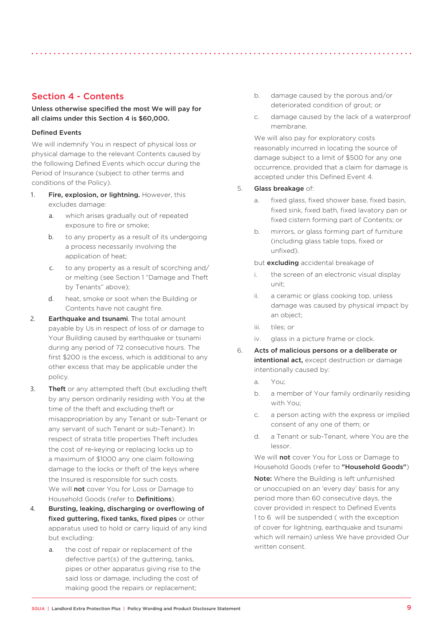# Section 4 - Contents

### Unless otherwise specified the most We will pay for all claims under this Section 4 is \$60,000.

### Defined Events

We will indemnify You in respect of physical loss or physical damage to the relevant Contents caused by the following Defined Events which occur during the Period of Insurance (subject to other terms and conditions of the Policy).

- 1. Fire, explosion, or lightning. However, this excludes damage:
	- a. which arises gradually out of repeated exposure to fire or smoke:
	- b. to any property as a result of its undergoing a process necessarily involving the application of heat;
	- c. to any property as a result of scorching and/ or melting (see Section 1 "Damage and Theft by Tenants" above);
	- d. heat, smoke or soot when the Building or Contents have not caught fire.
- 2. **Earthquake and tsunami**. The total amount payable by Us in respect of loss of or damage to Your Building caused by earthquake or tsunami during any period of 72 consecutive hours. The first \$200 is the excess, which is additional to any other excess that may be applicable under the policy.
- 3. Theft or any attempted theft (but excluding theft by any person ordinarily residing with You at the time of the theft and excluding theft or misappropriation by any Tenant or sub-Tenant or any servant of such Tenant or sub-Tenant). In respect of strata title properties Theft includes the cost of re-keying or replacing locks up to a maximum of \$1000 any one claim following damage to the locks or theft of the keys where the Insured is responsible for such costs. We will **not** cover You for Loss or Damage to Household Goods (refer to **Definitions**).
- 4. Bursting, leaking, discharging or overflowing of fixed guttering, fixed tanks, fixed pipes or other apparatus used to hold or carry liquid of any kind but excluding:
	- a. the cost of repair or replacement of the defective part(s) of the guttering, tanks, pipes or other apparatus giving rise to the said loss or damage, including the cost of making good the repairs or replacement;
- b. damage caused by the porous and/or deteriorated condition of grout; or
- c. damage caused by the lack of a waterproof membrane.

We will also pay for exploratory costs reasonably incurred in locating the source of damage subject to a limit of \$500 for any one occurrence, provided that a claim for damage is accepted under this Defined Event 4.

### 5. Glass breakage of:

- a. fixed glass, fixed shower base, fixed basin, fixed sink, fixed bath, fixed lavatory pan or fixed cistern forming part of Contents; or
- b. mirrors, or glass forming part of furniture (including glass table tops, fixed or unfixed).

but **excluding** accidental breakage of

- i. the screen of an electronic visual display unit;
- ii. a ceramic or glass cooking top, unless damage was caused by physical impact by an object;
- iii. tiles; or
- iv. glass in a picture frame or clock.
- 6. Acts of malicious persons or a deliberate or intentional act, except destruction or damage intentionally caused by:
	- a. You;
	- b. a member of Your family ordinarily residing with You;
	- c. a person acting with the express or implied consent of any one of them; or
	- d. a Tenant or sub-Tenant, where You are the lessor.

We will not cover You for Loss or Damage to Household Goods (refer to "Household Goods")

Note: Where the Building is left unfurnished or unoccupied on an 'every day' basis for any period more than 60 consecutive days, the cover provided in respect to Defined Events 1 to 6 will be suspended (with the exception of cover for lightning, earthquake and tsunami which will remain) unless We have provided Our written consent.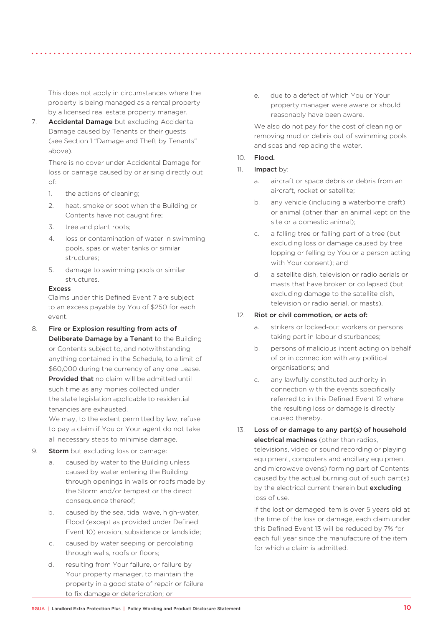This does not apply in circumstances where the property is being managed as a rental property by a licensed real estate property manager.

7. **Accidental Damage** but excluding Accidental Damage caused by Tenants or their guests (see Section 1 "Damage and Theft by Tenants" above).

There is no cover under Accidental Damage for loss or damage caused by or arising directly out of:

- 1. the actions of cleaning;
- 2. heat, smoke or soot when the Building or Contents have not caught fire;
- 3. tree and plant roots;
- 4. loss or contamination of water in swimming pools, spas or water tanks or similar structures;
- 5. damage to swimming pools or similar structures.

#### Excess

Claims under this Defined Event 7 are subject to an excess payable by You of \$250 for each event.

8. Fire or Explosion resulting from acts of Deliberate Damage by a Tenant to the Building or Contents subject to, and notwithstanding anything contained in the Schedule, to a limit of \$60,000 during the currency of any one Lease. Provided that no claim will be admitted until such time as any monies collected under the state legislation applicable to residential tenancies are exhausted.

We may, to the extent permitted by law, refuse to pay a claim if You or Your agent do not take all necessary steps to minimise damage.

- 9. **Storm** but excluding loss or damage:
	- a. caused by water to the Building unless caused by water entering the Building through openings in walls or roofs made by the Storm and/or tempest or the direct consequence thereof;
	- b. caused by the sea, tidal wave, high-water, Flood (except as provided under Defined Event 10) erosion, subsidence or landslide;
	- c. caused by water seeping or percolating through walls, roofs or floors;
	- d. resulting from Your failure, or failure by Your property manager, to maintain the property in a good state of repair or failure to fix damage or deterioration; or

e. due to a defect of which You or Your property manager were aware or should reasonably have been aware.

We also do not pay for the cost of cleaning or removing mud or debris out of swimming pools and spas and replacing the water.

- 10. Flood.
- 11. Impact by:
	- a. aircraft or space debris or debris from an aircraft, rocket or satellite;
	- b. any vehicle (including a waterborne craft) or animal (other than an animal kept on the site or a domestic animal);
	- c. a falling tree or falling part of a tree (but excluding loss or damage caused by tree lopping or felling by You or a person acting with Your consent); and
	- d. a satellite dish, television or radio aerials or masts that have broken or collapsed (but excluding damage to the satellite dish, television or radio aerial, or masts).

### 12. Riot or civil commotion, or acts of:

- a. strikers or locked-out workers or persons taking part in labour disturbances;
- b. persons of malicious intent acting on behalf of or in connection with any political organisations; and
- c. any lawfully constituted authority in connection with the events specifically referred to in this Defined Event 12 where the resulting loss or damage is directly caused thereby.

13. Loss of or damage to any part(s) of household electrical machines (other than radios, televisions, video or sound recording or playing equipment, computers and ancillary equipment and microwave ovens) forming part of Contents caused by the actual burning out of such part(s) by the electrical current therein but excluding loss of use.

If the lost or damaged item is over 5 years old at the time of the loss or damage, each claim under this Defined Event 13 will be reduced by 7% for each full year since the manufacture of the item for which a claim is admitted.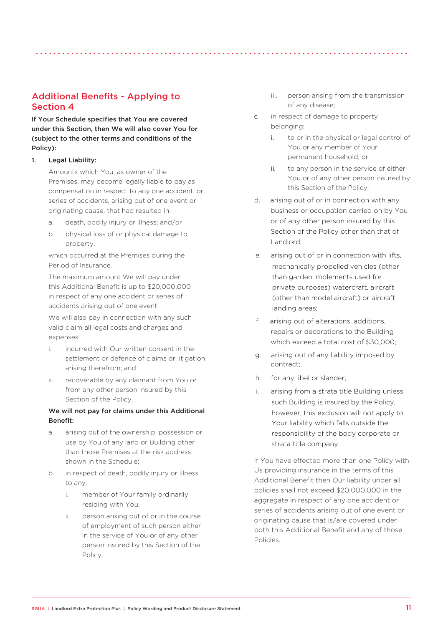# Additional Benefits - Applying to Section 4

If Your Schedule specifies that You are covered under this Section, then We will also cover You for (subject to the other terms and conditions of the Policy):

### 1. Legal Liability:

Amounts which You, as owner of the Premises, may become legally liable to pay as compensation in respect to any one accident, or series of accidents, arising out of one event or originating cause, that had resulted in:

- a. death, bodily injury or illness; and/or
- b. physical loss of or physical damage to property,

which occurred at the Premises during the Period of Insurance.

The maximum amount We will pay under this Additional Benefit is up to \$20,000,000 in respect of any one accident or series of accidents arising out of one event.

We will also pay in connection with any such valid claim all legal costs and charges and expenses:

- i. incurred with Our written consent in the settlement or defence of claims or litigation arising therefrom; and
- ii. recoverable by any claimant from You or from any other person insured by this Section of the Policy.

### We will not pay for claims under this Additional Benefit:

- a. arising out of the ownership, possession or use by You of any land or Building other than those Premises at the risk address shown in the Schedule;
- b. in respect of death, bodily injury or illness to any:
	- i. member of Your family ordinarily residing with You,
	- ii. person arising out of or in the course of employment of such person either in the service of You or of any other person insured by this Section of the Policy,
- iii. person arising from the transmission of any disease;
- c. in respect of damage to property belonging:
	- i. to or in the physical or legal control of You or any member of Your permanent household, or
	- ii. to any person in the service of either You or of any other person insured by this Section of the Policy;
- d. arising out of or in connection with any business or occupation carried on by You or of any other person insured by this Section of the Policy other than that of Landlord;
- e. arising out of or in connection with lifts, mechanically propelled vehicles (other than garden implements used for private purposes) watercraft, aircraft (other than model aircraft) or aircraft landing areas;
- f. arising out of alterations, additions, repairs or decorations to the Building which exceed a total cost of \$30,000;
- g. arising out of any liability imposed by contract;
- h. for any libel or slander;
- i. arising from a strata title Building unless such Building is insured by the Policy, however, this exclusion will not apply to Your liability which falls outside the responsibility of the body corporate or strata title company.

If You have effected more than one Policy with Us providing insurance in the terms of this Additional Benefit then Our liability under all policies shall not exceed \$20,000,000 in the aggregate in respect of any one accident or series of accidents arising out of one event or originating cause that is/are covered under both this Additional Benefit and any of those Policies.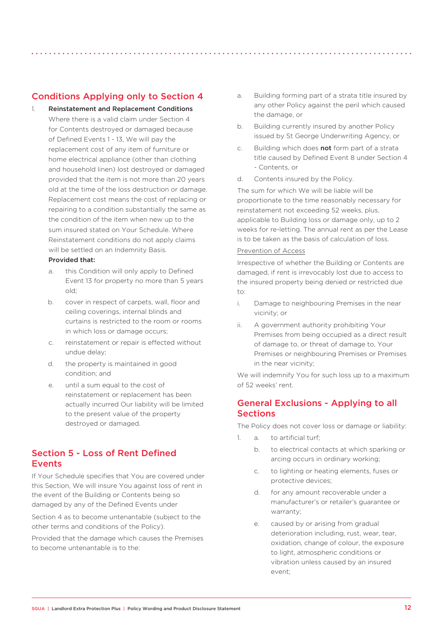# Conditions Applying only to Section 4

- 1. Reinstatement and Replacement Conditions Where there is a valid claim under Section 4 for Contents destroyed or damaged because of Defined Events 1 - 13, We will pay the replacement cost of any item of furniture or home electrical appliance (other than clothing and household linen) lost destroyed or damaged provided that the item is not more than 20 years old at the time of the loss destruction or damage. Replacement cost means the cost of replacing or repairing to a condition substantially the same as the condition of the item when new up to the sum insured stated on Your Schedule. Where Reinstatement conditions do not apply claims will be settled on an Indemnity Basis. Provided that:
	- a. this Condition will only apply to Defined Event 13 for property no more than 5 years old;
	- b. cover in respect of carpets, wall, floor and ceiling coverings, internal blinds and curtains is restricted to the room or rooms in which loss or damage occurs;
	- c. reinstatement or repair is effected without undue delay;
	- d. the property is maintained in good condition; and
	- e. until a sum equal to the cost of reinstatement or replacement has been actually incurred Our liability will be limited to the present value of the property destroyed or damaged.

# Section 5 - Loss of Rent Defined Events

If Your Schedule specifies that You are covered under this Section, We will insure You against loss of rent in the event of the Building or Contents being so damaged by any of the Defined Events under

Section 4 as to become untenantable (subject to the other terms and conditions of the Policy).

Provided that the damage which causes the Premises to become untenantable is to the:

- a. Building forming part of a strata title insured by any other Policy against the peril which caused the damage, or
- b. Building currently insured by another Policy issued by St George Underwriting Agency, or
- c. Building which does not form part of a strata title caused by Defined Event 8 under Section 4 - Contents, or
- d. Contents insured by the Policy.

The sum for which We will be liable will be proportionate to the time reasonably necessary for reinstatement not exceeding 52 weeks, plus, applicable to Building loss or damage only, up to 2 weeks for re-letting. The annual rent as per the Lease is to be taken as the basis of calculation of loss.

#### Prevention of Access

Irrespective of whether the Building or Contents are damaged, if rent is irrevocably lost due to access to the insured property being denied or restricted due to:

- i. Damage to neighbouring Premises in the near vicinity; or
- ii. A government authority prohibiting Your Premises from being occupied as a direct result of damage to, or threat of damage to, Your Premises or neighbouring Premises or Premises in the near vicinity;

We will indemnify You for such loss up to a maximum of 52 weeks' rent.

# General Exclusions - Applying to all **Sections**

The Policy does not cover loss or damage or liability:

- 1. a. to artificial turf:
	- b. to electrical contacts at which sparking or arcing occurs in ordinary working;
	- c. to lighting or heating elements, fuses or protective devices;
	- d. for any amount recoverable under a manufacturer's or retailer's guarantee or warranty;
	- e. caused by or arising from gradual deterioration including, rust, wear, tear, oxidation, change of colour, the exposure to light, atmospheric conditions or vibration unless caused by an insured event;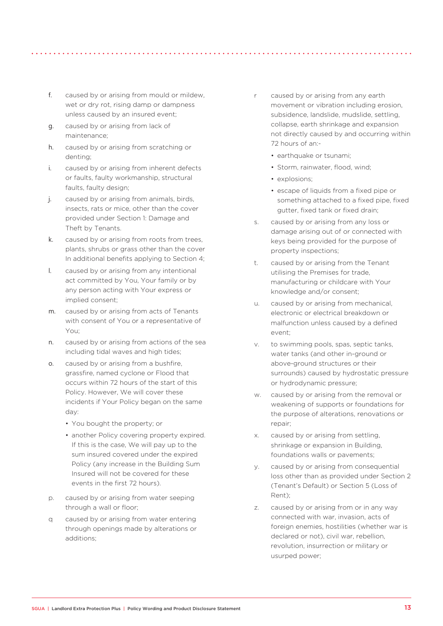- f. caused by or arising from mould or mildew, wet or dry rot, rising damp or dampness unless caused by an insured event:
- g. caused by or arising from lack of maintenance;
- h. caused by or arising from scratching or denting;
- i. caused by or arising from inherent defects or faults, faulty workmanship, structural faults, faulty design;
- j. caused by or arising from animals, birds, insects, rats or mice, other than the cover provided under Section 1: Damage and Theft by Tenants.
- k. caused by or arising from roots from trees, plants, shrubs or grass other than the cover In additional benefits applying to Section 4;
- l. caused by or arising from any intentional act committed by You, Your family or by any person acting with Your express or implied consent;
- m. caused by or arising from acts of Tenants with consent of You or a representative of You;
- n. caused by or arising from actions of the sea including tidal waves and high tides;
- o. caused by or arising from a bushfire grassfire, named cyclone or Flood that occurs within 72 hours of the start of this Policy. However, We will cover these incidents if Your Policy began on the same day:
	- You bought the property; or
	- another Policy covering property expired. If this is the case. We will pay up to the sum insured covered under the expired Policy (any increase in the Building Sum Insured will not be covered for these events in the first 72 hours).
- p. caused by or arising from water seeping through a wall or floor;
- q caused by or arising from water entering through openings made by alterations or additions;
- r caused by or arising from any earth movement or vibration including erosion, subsidence, landslide, mudslide, settling, collapse, earth shrinkage and expansion not directly caused by and occurring within 72 hours of an:-
	- earthquake or tsunami;
	- Storm, rainwater, flood, wind;
	- explosions:
	- escape of liquids from a fixed pipe or something attached to a fixed pipe, fixed gutter, fixed tank or fixed drain;
- s. caused by or arising from any loss or damage arising out of or connected with keys being provided for the purpose of property inspections;
- t. caused by or arising from the Tenant utilising the Premises for trade, manufacturing or childcare with Your knowledge and/or consent;
- u. caused by or arising from mechanical, electronic or electrical breakdown or malfunction unless caused by a defined event;
- v. to swimming pools, spas, septic tanks, water tanks (and other in-ground or above-ground structures or their surrounds) caused by hydrostatic pressure or hydrodynamic pressure;
- w. caused by or arising from the removal or weakening of supports or foundations for the purpose of alterations, renovations or repair;
- x. caused by or arising from settling, shrinkage or expansion in Building, foundations walls or pavements;
- y. caused by or arising from consequential loss other than as provided under Section 2 (Tenant's Default) or Section 5 (Loss of Rent);
- z. caused by or arising from or in any way connected with war, invasion, acts of foreign enemies, hostilities (whether war is declared or not), civil war, rebellion, revolution, insurrection or military or usurped power;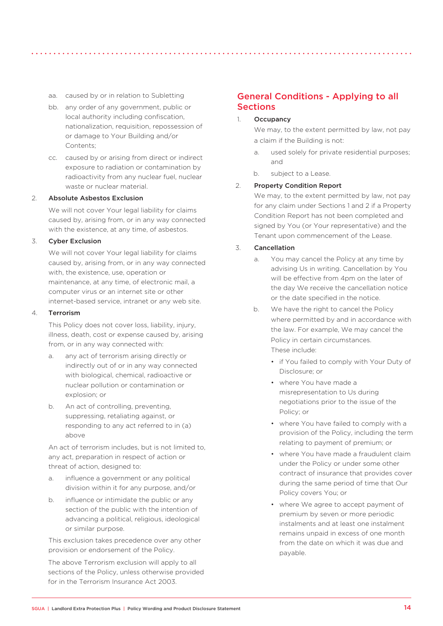- aa. caused by or in relation to Subletting
- bb. any order of any government, public or local authority including confiscation, nationalization, requisition, repossession of or damage to Your Building and/or Contents;
- cc. caused by or arising from direct or indirect exposure to radiation or contamination by radioactivity from any nuclear fuel, nuclear waste or nuclear material

#### 2. Absolute Asbestos Exclusion

We will not cover Your legal liability for claims caused by, arising from, or in any way connected with the existence, at any time, of asbestos.

### 3. Cyber Exclusion

We will not cover Your legal liability for claims caused by, arising from, or in any way connected with, the existence, use, operation or maintenance, at any time, of electronic mail, a computer virus or an internet site or other internet-based service, intranet or any web site.

### 4. Terrorism

This Policy does not cover loss, liability, injury, illness, death, cost or expense caused by, arising from, or in any way connected with:

- a. any act of terrorism arising directly or indirectly out of or in any way connected with biological, chemical, radioactive or nuclear pollution or contamination or explosion; or
- b. An act of controlling, preventing, suppressing, retaliating against, or responding to any act referred to in (a) above

An act of terrorism includes, but is not limited to, any act, preparation in respect of action or threat of action, designed to:

- a. influence a government or any political division within it for any purpose, and/or
- b. influence or intimidate the public or any section of the public with the intention of advancing a political, religious, ideological or similar purpose.

This exclusion takes precedence over any other provision or endorsement of the Policy.

The above Terrorism exclusion will apply to all sections of the Policy, unless otherwise provided for in the Terrorism Insurance Act 2003.

# General Conditions - Applying to all Sections

### 1. Occupancy

We may, to the extent permitted by law, not pay a claim if the Building is not:

- a. used solely for private residential purposes: and
- b. subject to a Lease.

#### 2. Property Condition Report

We may, to the extent permitted by law, not pay for any claim under Sections 1 and 2 if a Property Condition Report has not been completed and signed by You (or Your representative) and the Tenant upon commencement of the Lease.

#### 3. Cancellation

- a. You may cancel the Policy at any time by advising Us in writing. Cancellation by You will be effective from 4pm on the later of the day We receive the cancellation notice or the date specified in the notice.
- b. We have the right to cancel the Policy where permitted by and in accordance with the law. For example, We may cancel the Policy in certain circumstances. These include:
	- if You failed to comply with Your Duty of Disclosure; or
	- where You have made a misrepresentation to Us during negotiations prior to the issue of the Policy; or
	- where You have failed to comply with a provision of the Policy, including the term relating to payment of premium; or
	- where You have made a fraudulent claim under the Policy or under some other contract of insurance that provides cover during the same period of time that Our Policy covers You; or
	- where We agree to accept payment of premium by seven or more periodic instalments and at least one instalment remains unpaid in excess of one month from the date on which it was due and payable.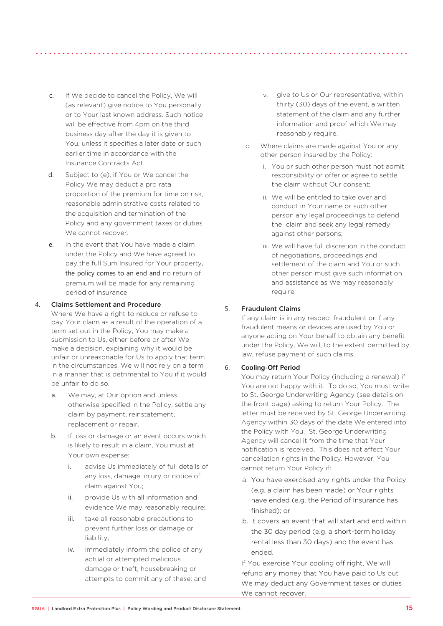- c. If We decide to cancel the Policy, We will (as relevant) give notice to You personally or to Your last known address. Such notice will be effective from 4pm on the third business day after the day it is given to You, unless it specifies a later date or such earlier time in accordance with the Insurance Contracts Act.
- d. Subject to (e), if You or We cancel the Policy We may deduct a pro rata proportion of the premium for time on risk. reasonable administrative costs related to the acquisition and termination of the Policy and any government taxes or duties We cannot recover.
- e. In the event that You have made a claim under the Policy and We have agreed to pay the full Sum Insured for Your property, the policy comes to an end and no return of premium will be made for any remaining period of insurance.

#### 4. Claims Settlement and Procedure

Where We have a right to reduce or refuse to pay Your claim as a result of the operation of a term set out in the Policy, You may make a submission to Us, either before or after We make a decision, explaining why it would be unfair or unreasonable for Us to apply that term in the circumstances. We will not rely on a term in a manner that is detrimental to You if it would be unfair to do so.

- a. We may, at Our option and unless otherwise specified in the Policy, settle any claim by payment, reinstatement, replacement or repair
- b. If loss or damage or an event occurs which is likely to result in a claim, You must at Your own expense:
	- i. advise Us immediately of full details of any loss, damage, injury or notice of claim against You;
	- ii. provide Us with all information and evidence We may reasonably require;
	- iii. take all reasonable precautions to prevent further loss or damage or liability;
	- iv. immediately inform the police of any actual or attempted malicious damage or theft, housebreaking or attempts to commit any of these; and
- v. give to Us or Our representative, within thirty (30) days of the event, a written statement of the claim and any further information and proof which We may reasonably require.
- c. Where claims are made against You or any other person insured by the Policy:
	- i. You or such other person must not admit responsibility or offer or agree to settle the claim without Our consent;
	- ii. We will be entitled to take over and conduct in Your name or such other person any legal proceedings to defend the claim and seek any legal remedy against other persons;
	- iii. We will have full discretion in the conduct of negotiations, proceedings and settlement of the claim and You or such other person must give such information and assistance as We may reasonably require.

### 5. Fraudulent Claims

If any claim is in any respect fraudulent or if any fraudulent means or devices are used by You or anyone acting on Your behalf to obtain any benefit under the Policy, We will, to the extent permitted by law, refuse payment of such claims.

### 6. **Cooling-Off Period**

You may return Your Policy (including a renewal) if You are not happy with it. To do so, You must write to St. George Underwriting Agency (see details on the front page) asking to return Your Policy. The letter must be received by St. George Underwriting Agency within 30 days of the date We entered into the Policy with You. St. George Underwriting Agency will cancel it from the time that Your notification is received. This does not affect Your cancellation rights in the Policy. However, You cannot return Your Policy if:

- a. You have exercised any rights under the Policy (e.g. a claim has been made) or Your rights have ended (e.g. the Period of Insurance has finished); or
- b. it covers an event that will start and end within the 30 day period (e.g. a short-term holiday rental less than 30 days) and the event has ended.

If You exercise Your cooling off right, We will refund any money that You have paid to Us but We may deduct any Government taxes or duties We cannot recover.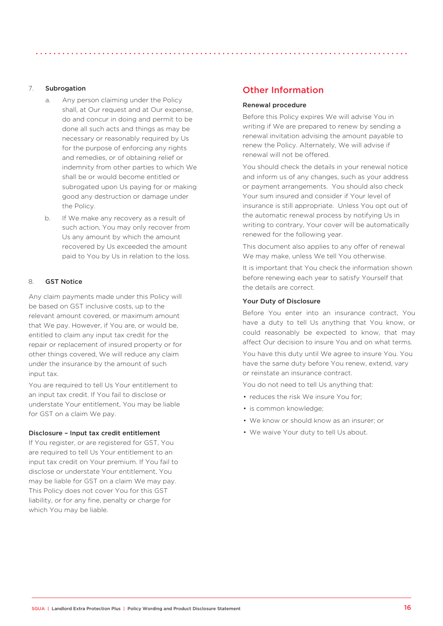- a. Any person claiming under the Policy shall, at Our request and at Our expense, do and concur in doing and permit to be done all such acts and things as may be necessary or reasonably required by Us for the purpose of enforcing any rights and remedies, or of obtaining relief or indemnity from other parties to which We shall be or would become entitled or subrogated upon Us paying for or making good any destruction or damage under the Policy.
- b. If We make any recovery as a result of such action, You may only recover from Us any amount by which the amount recovered by Us exceeded the amount paid to You by Us in relation to the loss.

### 8. GST Notice

Any claim payments made under this Policy will be based on GST inclusive costs, up to the relevant amount covered, or maximum amount that We pay. However, if You are, or would be, entitled to claim any input tax credit for the repair or replacement of insured property or for other things covered, We will reduce any claim under the insurance by the amount of such input tax.

You are required to tell Us Your entitlement to an input tax credit. If You fail to disclose or understate Your entitlement, You may be liable for GST on a claim We pay.

#### Disclosure – Input tax credit entitlement

If You register, or are registered for GST, You are required to tell Us Your entitlement to an input tax credit on Your premium. If You fail to disclose or understate Your entitlement, You may be liable for GST on a claim We may pay. This Policy does not cover You for this GST liability, or for any fine, penalty or charge for which You may be liable.

# Other Information

#### Renewal procedure

Before this Policy expires We will advise You in writing if We are prepared to renew by sending a renewal invitation advising the amount payable to renew the Policy. Alternately, We will advise if renewal will not be offered.

You should check the details in your renewal notice and inform us of any changes, such as your address or payment arrangements. You should also check Your sum insured and consider if Your level of insurance is still appropriate. Unless You opt out of the automatic renewal process by notifying Us in writing to contrary, Your cover will be automatically renewed for the following year.

This document also applies to any offer of renewal We may make, unless We tell You otherwise.

It is important that You check the information shown before renewing each year to satisfy Yourself that the details are correct.

#### Your Duty of Disclosure

Before You enter into an insurance contract, You have a duty to tell Us anything that You know, or could reasonably be expected to know, that may affect Our decision to insure You and on what terms.

You have this duty until We agree to insure You. You have the same duty before You renew, extend, vary or reinstate an insurance contract.

You do not need to tell Us anything that:

- reduces the risk We insure You for;
- is common knowledge;
- We know or should know as an insurer; or
- We waive Your duty to tell Us about.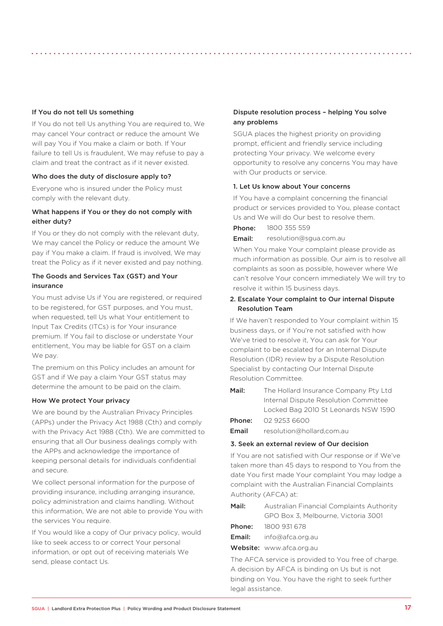#### If You do not tell Us something

If You do not tell Us anything You are required to, We may cancel Your contract or reduce the amount We will pay You if You make a claim or both. If Your failure to tell Us is fraudulent, We may refuse to pay a claim and treat the contract as if it never existed.

#### Who does the duty of disclosure apply to?

Everyone who is insured under the Policy must comply with the relevant duty.

### What happens if You or they do not comply with either duty?

If You or they do not comply with the relevant duty, We may cancel the Policy or reduce the amount We pay if You make a claim. If fraud is involved, We may treat the Policy as if it never existed and pay nothing.

### The Goods and Services Tax (GST) and Your insurance

You must advise Us if You are registered, or required to be registered, for GST purposes, and You must, when requested, tell Us what Your entitlement to Input Tax Credits (ITCs) is for Your insurance premium. If You fail to disclose or understate Your entitlement, You may be liable for GST on a claim We pay.

The premium on this Policy includes an amount for GST and if We pay a claim Your GST status may determine the amount to be paid on the claim.

#### How We protect Your privacy

We are bound by the Australian Privacy Principles (APPs) under the Privacy Act 1988 (Cth) and comply with the Privacy Act 1988 (Cth). We are committed to ensuring that all Our business dealings comply with the APPs and acknowledge the importance of keeping personal details for individuals confidential and secure.

We collect personal information for the purpose of providing insurance, including arranging insurance, policy administration and claims handling. Without this information, We are not able to provide You with the services You require.

If You would like a copy of Our privacy policy, would like to seek access to or correct Your personal information, or opt out of receiving materials We send, please contact Us.

### Dispute resolution process – helping You solve any problems

SGUA places the highest priority on providing prompt, efficient and friendly service including protecting Your privacy. We welcome every opportunity to resolve any concerns You may have with Our products or service.

#### 1. Let Us know about Your concerns

If You have a complaint concerning the financial product or services provided to You, please contact Us and We will do Our best to resolve them.

Phone: 1800 355 559

Email: resolution@sgua.com.au

When You make Your complaint please provide as much information as possible. Our aim is to resolve all complaints as soon as possible, however where We can't resolve Your concern immediately We will try to resolve it within 15 business days.

### 2. Escalate Your complaint to Our internal Dispute Resolution Team

If We haven't responded to Your complaint within 15 business days, or if You're not satisfied with how We've tried to resolve it, You can ask for Your complaint to be escalated for an Internal Dispute Resolution (IDR) review by a Dispute Resolution Specialist by contacting Our Internal Dispute Resolution Committee.

| Mail:  | The Hollard Insurance Company Pty Ltd |  |
|--------|---------------------------------------|--|
|        | Internal Dispute Resolution Committee |  |
|        | Locked Bag 2010 St Leonards NSW 1590  |  |
| Phone: | 02 9253 6600                          |  |
| Email  | resolution@hollard.com.au             |  |

#### 3. Seek an external review of Our decision

If You are not satisfied with Our response or if We've taken more than 45 days to respond to You from the date You first made Your complaint You may lodge a complaint with the Australian Financial Complaints Authority (AFCA) at:

Mail: Australian Financial Complaints Authority GPO Box 3, Melbourne, Victoria 3001

| Phone: | 1800 931 678     |
|--------|------------------|
| Email: | info@afca.org.au |

Website: www.afca.org.au

The AFCA service is provided to You free of charge. A decision by AFCA is binding on Us but is not binding on You. You have the right to seek further legal assistance.